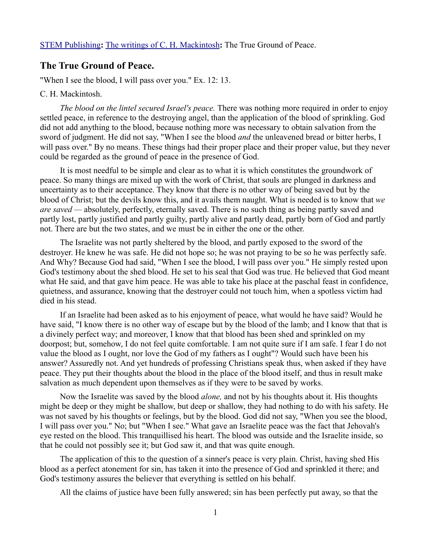## **The True Ground of Peace.**

"When I see the blood, I will pass over you." Ex. 12: 13.

## C. H. Mackintosh.

*The blood on the lintel secured Israel's peace.* There was nothing more required in order to enjoy settled peace, in reference to the destroying angel, than the application of the blood of sprinkling. God did not add anything to the blood, because nothing more was necessary to obtain salvation from the sword of judgment. He did not say, "When I see the blood *and* the unleavened bread or bitter herbs, I will pass over." By no means. These things had their proper place and their proper value, but they never could be regarded as the ground of peace in the presence of God.

It is most needful to be simple and clear as to what it is which constitutes the groundwork of peace. So many things are mixed up with the work of Christ, that souls are plunged in darkness and uncertainty as to their acceptance. They know that there is no other way of being saved but by the blood of Christ; but the devils know this, and it avails them naught. What is needed is to know that *we are saved —* absolutely, perfectly, eternally saved. There is no such thing as being partly saved and partly lost, partly justified and partly guilty, partly alive and partly dead, partly born of God and partly not. There are but the two states, and we must be in either the one or the other.

The Israelite was not partly sheltered by the blood, and partly exposed to the sword of the destroyer. He knew he was safe. He did not hope so; he was not praying to be so he was perfectly safe. And Why? Because God had said, "When I see the blood, I will pass over you." He simply rested upon God's testimony about the shed blood. He set to his seal that God was true. He believed that God meant what He said, and that gave him peace. He was able to take his place at the paschal feast in confidence, quietness, and assurance, knowing that the destroyer could not touch him, when a spotless victim had died in his stead.

If an Israelite had been asked as to his enjoyment of peace, what would he have said? Would he have said, "I know there is no other way of escape but by the blood of the lamb; and I know that that is a divinely perfect way; and moreover, I know that that blood has been shed and sprinkled on my doorpost; but, somehow, I do not feel quite comfortable. I am not quite sure if I am safe. I fear I do not value the blood as I ought, nor love the God of my fathers as I ought"? Would such have been his answer? Assuredly not. And yet hundreds of professing Christians speak thus, when asked if they have peace. They put their thoughts about the blood in the place of the blood itself, and thus in result make salvation as much dependent upon themselves as if they were to be saved by works.

Now the Israelite was saved by the blood *alone,* and not by his thoughts about it. His thoughts might be deep or they might be shallow, but deep or shallow, they had nothing to do with his safety. He was not saved by his thoughts or feelings, but by the blood. God did not say, "When you see the blood, I will pass over you." No; but "When I see." What gave an Israelite peace was the fact that Jehovah's eye rested on the blood. This tranquillised his heart. The blood was outside and the Israelite inside, so that he could not possibly see it; but God saw it, and that was quite enough.

The application of this to the question of a sinner's peace is very plain. Christ, having shed His blood as a perfect atonement for sin, has taken it into the presence of God and sprinkled it there; and God's testimony assures the believer that everything is settled on his behalf.

All the claims of justice have been fully answered; sin has been perfectly put away, so that the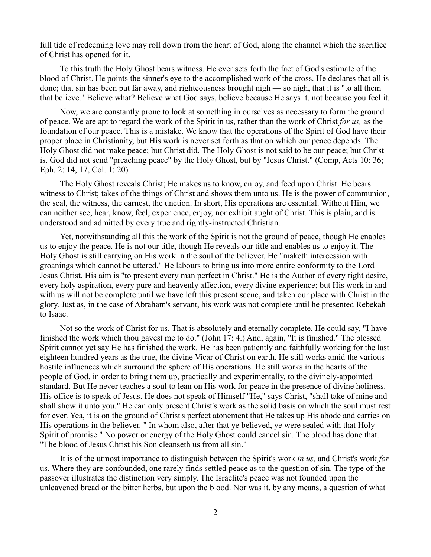full tide of redeeming love may roll down from the heart of God, along the channel which the sacrifice of Christ has opened for it.

To this truth the Holy Ghost bears witness. He ever sets forth the fact of God's estimate of the blood of Christ. He points the sinner's eye to the accomplished work of the cross. He declares that all is done; that sin has been put far away, and righteousness brought nigh — so nigh, that it is "to all them that believe." Believe what? Believe what God says, believe because He says it, not because you feel it.

Now, we are constantly prone to look at something in ourselves as necessary to form the ground of peace. We are apt to regard the work of the Spirit in us, rather than the work of Christ *for us,* as the foundation of our peace. This is a mistake. We know that the operations of the Spirit of God have their proper place in Christianity, but His work is never set forth as that on which our peace depends. The Holy Ghost did not make peace; but Christ did. The Holy Ghost is not said to be our peace; but Christ is. God did not send "preaching peace" by the Holy Ghost, but by "Jesus Christ." (Comp, Acts 10: 36; Eph. 2: 14, 17, Col. 1: 20)

The Holy Ghost reveals Christ; He makes us to know, enjoy, and feed upon Christ. He bears witness to Christ; takes of the things of Christ and shows them unto us. He is the power of communion, the seal, the witness, the earnest, the unction. In short, His operations are essential. Without Him, we can neither see, hear, know, feel, experience, enjoy, nor exhibit aught of Christ. This is plain, and is understood and admitted by every true and rightly-instructed Christian.

Yet, notwithstanding all this the work of the Spirit is not the ground of peace, though He enables us to enjoy the peace. He is not our title, though He reveals our title and enables us to enjoy it. The Holy Ghost is still carrying on His work in the soul of the believer. He "maketh intercession with groanings which cannot be uttered." He labours to bring us into more entire conformity to the Lord Jesus Christ. His aim is "to present every man perfect in Christ." He is the Author of every right desire, every holy aspiration, every pure and heavenly affection, every divine experience; but His work in and with us will not be complete until we have left this present scene, and taken our place with Christ in the glory. Just as, in the case of Abraham's servant, his work was not complete until he presented Rebekah to Isaac.

Not so the work of Christ for us. That is absolutely and eternally complete. He could say, "I have finished the work which thou gavest me to do." (John 17: 4.) And, again, "It is finished." The blessed Spirit cannot yet say He has finished the work. He has been patiently and faithfully working for the last eighteen hundred years as the true, the divine Vicar of Christ on earth. He still works amid the various hostile influences which surround the sphere of His operations. He still works in the hearts of the people of God, in order to bring them up, practically and experimentally, to the divinely-appointed standard. But He never teaches a soul to lean on His work for peace in the presence of divine holiness. His office is to speak of Jesus. He does not speak of Himself "He," says Christ, "shall take of mine and shall show it unto you." He can only present Christ's work as the solid basis on which the soul must rest for ever. Yea, it is on the ground of Christ's perfect atonement that He takes up His abode and carries on His operations in the believer. " In whom also, after that ye believed, ye were sealed with that Holy Spirit of promise." No power or energy of the Holy Ghost could cancel sin. The blood has done that. "The blood of Jesus Christ his Son cleanseth us from all sin."

It is of the utmost importance to distinguish between the Spirit's work *in us,* and Christ's work *for* us. Where they are confounded, one rarely finds settled peace as to the question of sin. The type of the passover illustrates the distinction very simply. The Israelite's peace was not founded upon the unleavened bread or the bitter herbs, but upon the blood. Nor was it, by any means, a question of what